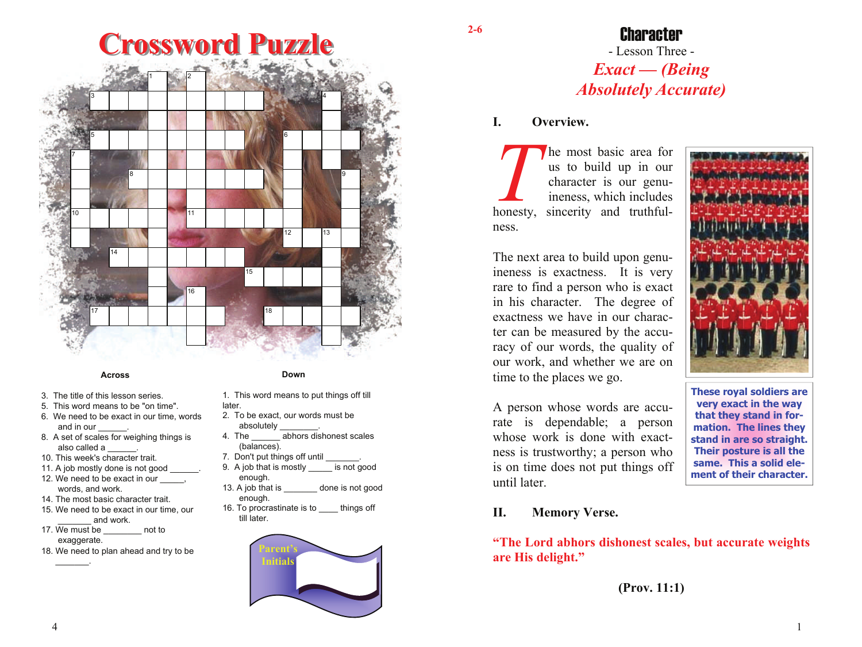

#### **Across**

- 3. The title of this lesson series.
- 5. This word means to be "on time".
- 6. We need to be exact in our time, words and in our
- 8. A set of scales for weighing things is also called a
- 10. This week's character trait.
- 11. A job mostly done is not good 12. We need to be exact in our \_\_\_\_\_,
- words, and work. 14. The most basic character trait.
- 15. We need to be exact in our time, our and work.
- 17. We must be \_\_\_\_\_\_\_\_ not to exaggerate.
- 18. We need to plan ahead and try to be

**1999** Down

- 1. This word means to put things off till later.
- 2. To be exact, our words must be absolutely \_\_\_\_\_\_\_\_.
- 4. The \_\_\_\_\_\_ abhors dishonest scales (balances).
- 7. Don't put things off until
- 9. A job that is mostly is not good enough.
- 13. A job that is \_\_\_\_\_\_\_ done is not good enough.
- 16. To procrastinate is to things off till later.



## - Lesson Three - *Exact — (Being Absolutely Accurate)*

Character

#### **I. Overview.**

**2-6** 

**The most basic area for us to build up in our character is our genu-** ineness, which includes honesty, sincerity and truthfulness.

The next area to build upon genuineness is exactness. It is very rare to find a person who is exact in his character. The degree of exactness we have in our character can be measured by the accuracy of our words, the quality of our work, and whether we are on time to the places we go.

A person whose words are accurate is dependable; a person whose work is done with exactness is trustworthy; a person who is on time does not put things off until later.

**These royal soldiers are very exact in the way that they stand in formation. The lines they stand in are so straight. Their posture is all the same. This a solid element of their character.** 

## **II. Memory Verse.**

**"The Lord abhors dishonest scales, but accurate weights are His delight."** 

## **(Prov. 11:1)**

\_\_\_\_\_\_\_.